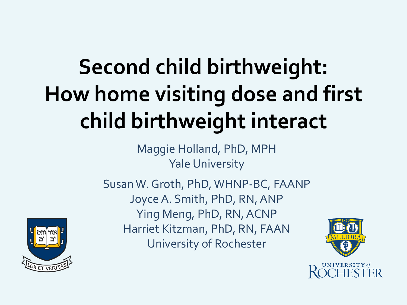# **Second child birthweight: How home visiting dose and first child birthweight interact**

Maggie Holland, PhD, MPH Yale University

Susan W. Groth, PhD, WHNP-BC, FAANP Joyce A. Smith, PhD, RN, ANP Ying Meng, PhD, RN, ACNP Harriet Kitzman, PhD, RN, FAAN University of Rochester



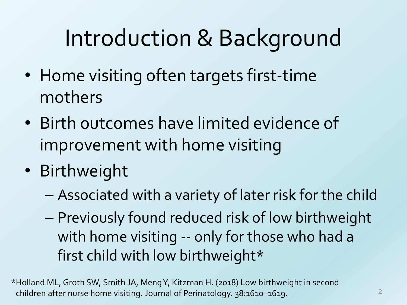# Introduction & Background

- Home visiting often targets first-time mothers
- Birth outcomes have limited evidence of improvement with home visiting
- Birthweight
	- Associated with a variety of later risk for the child
	- Previously found reduced risk of low birthweight with home visiting -- only for those who had a first child with low birthweight\*

\*Holland ML, Groth SW, Smith JA, Meng Y, Kitzman H. (2018) Low birthweight in second children after nurse home visiting. Journal of Perinatology. 38:1610–1619.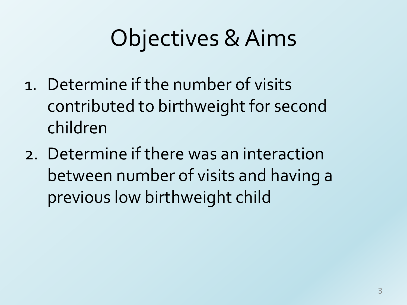# Objectives & Aims

- 1. Determine if the number of visits contributed to birthweight for second children
- 2. Determine if there was an interaction between number of visits and having a previous low birthweight child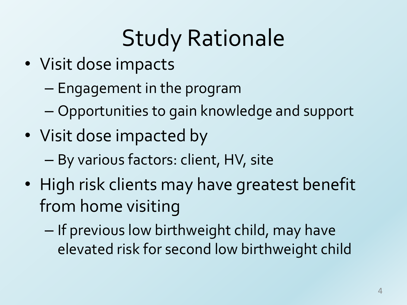# Study Rationale

- Visit dose impacts
	- Engagement in the program
	- Opportunities to gain knowledge and support
- Visit dose impacted by
	- By various factors: client, HV, site
- High risk clients may have greatest benefit from home visiting
	- If previous low birthweight child, may have elevated risk for second low birthweight child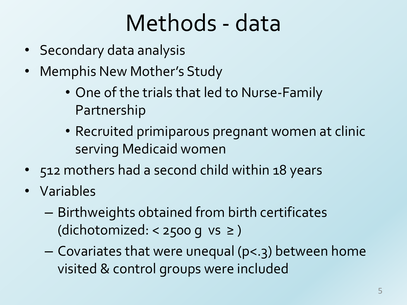#### Methods - data

- Secondary data analysis
- Memphis New Mother's Study
	- One of the trials that led to Nurse-Family Partnership
	- Recruited primiparous pregnant women at clinic serving Medicaid women
- 512 mothers had a second child within 18 years
- Variables
	- Birthweights obtained from birth certificates (dichotomized: < 2500 g vs  $\ge$ )
	- Covariates that were unequal (p<.3) between home visited & control groups were included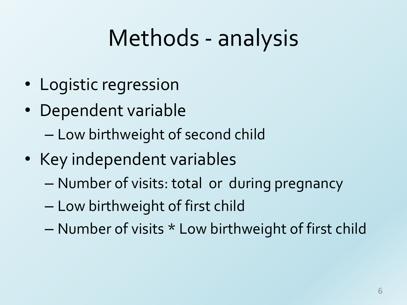### Methods - analysis

- Logistic regression
- Dependent variable – Low birthweight of second child
- Key independent variables
	- Number of visits: total or during pregnancy
	- Low birthweight of first child
	- Number of visits \* Low birthweight of first child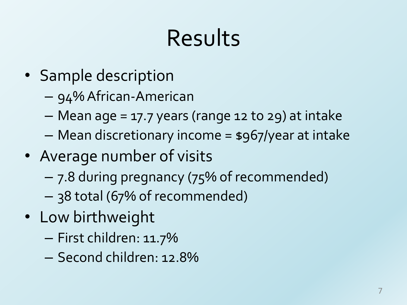### Results

- Sample description
	- 94% African-American
	- Mean age = 17.7 years (range 12 to 29) at intake
	- Mean discretionary income = \$967/year at intake
- Average number of visits
	- 7.8 during pregnancy (75% of recommended)
	- 38 total (67% of recommended)
- Low birthweight
	- First children: 11.7%
	- Second children: 12.8%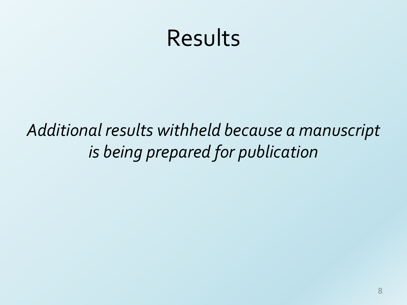#### Results

*Additional results withheld because a manuscript is being prepared for publication*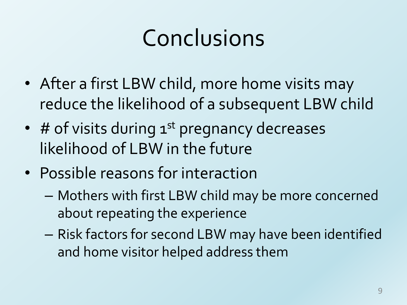# Conclusions

- After a first LBW child, more home visits may reduce the likelihood of a subsequent LBW child
- $\bullet$  # of visits during  $1^{st}$  pregnancy decreases likelihood of LBW in the future
- Possible reasons for interaction
	- Mothers with first LBW child may be more concerned about repeating the experience
	- Risk factors for second LBW may have been identified and home visitor helped address them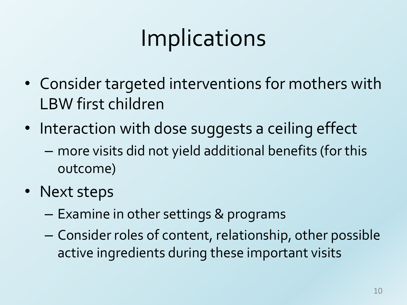# Implications

- Consider targeted interventions for mothers with LBW first children
- Interaction with dose suggests a ceiling effect
	- more visits did not yield additional benefits (for this outcome)
- Next steps
	- Examine in other settings & programs
	- Consider roles of content, relationship, other possible active ingredients during these important visits